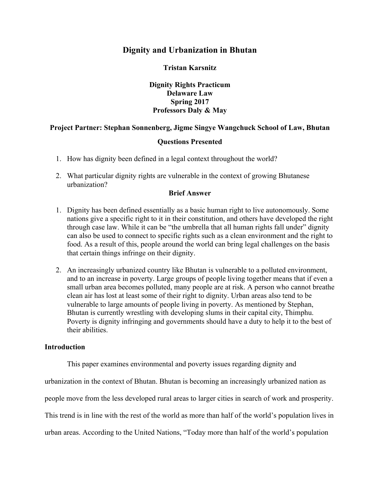# **Dignity and Urbanization in Bhutan**

## **Tristan Karsnitz**

**Dignity Rights Practicum Delaware Law Spring 2017 Professors Daly & May**

## **Project Partner: Stephan Sonnenberg, Jigme Singye Wangchuck School of Law, Bhutan**

### **Questions Presented**

- 1. How has dignity been defined in a legal context throughout the world?
- 2. What particular dignity rights are vulnerable in the context of growing Bhutanese urbanization?

### **Brief Answer**

- 1. Dignity has been defined essentially as a basic human right to live autonomously. Some nations give a specific right to it in their constitution, and others have developed the right through case law. While it can be "the umbrella that all human rights fall under" dignity can also be used to connect to specific rights such as a clean environment and the right to food. As a result of this, people around the world can bring legal challenges on the basis that certain things infringe on their dignity.
- 2. An increasingly urbanized country like Bhutan is vulnerable to a polluted environment, and to an increase in poverty. Large groups of people living together means that if even a small urban area becomes polluted, many people are at risk. A person who cannot breathe clean air has lost at least some of their right to dignity. Urban areas also tend to be vulnerable to large amounts of people living in poverty. As mentioned by Stephan, Bhutan is currently wrestling with developing slums in their capital city, Thimphu. Poverty is dignity infringing and governments should have a duty to help it to the best of their abilities.

#### **Introduction**

This paper examines environmental and poverty issues regarding dignity and

urbanization in the context of Bhutan. Bhutan is becoming an increasingly urbanized nation as

people move from the less developed rural areas to larger cities in search of work and prosperity.

This trend is in line with the rest of the world as more than half of the world's population lives in

urban areas. According to the United Nations, "Today more than half of the world's population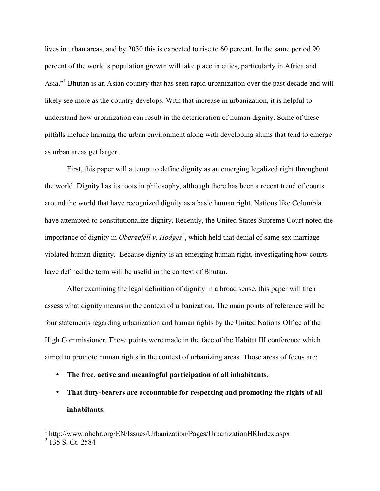lives in urban areas, and by 2030 this is expected to rise to 60 percent. In the same period 90 percent of the world's population growth will take place in cities, particularly in Africa and Asia."1 Bhutan is an Asian country that has seen rapid urbanization over the past decade and will likely see more as the country develops. With that increase in urbanization, it is helpful to understand how urbanization can result in the deterioration of human dignity. Some of these pitfalls include harming the urban environment along with developing slums that tend to emerge as urban areas get larger.

First, this paper will attempt to define dignity as an emerging legalized right throughout the world. Dignity has its roots in philosophy, although there has been a recent trend of courts around the world that have recognized dignity as a basic human right. Nations like Columbia have attempted to constitutionalize dignity. Recently, the United States Supreme Court noted the importance of dignity in *Obergefell v. Hodges<sup>2</sup>*, which held that denial of same sex marriage violated human dignity. Because dignity is an emerging human right, investigating how courts have defined the term will be useful in the context of Bhutan.

After examining the legal definition of dignity in a broad sense, this paper will then assess what dignity means in the context of urbanization. The main points of reference will be four statements regarding urbanization and human rights by the United Nations Office of the High Commissioner. Those points were made in the face of the Habitat III conference which aimed to promote human rights in the context of urbanizing areas. Those areas of focus are:

- **The free, active and meaningful participation of all inhabitants.**
- **That duty-bearers are accountable for respecting and promoting the rights of all inhabitants.**

 <sup>1</sup> http://www.ohchr.org/EN/Issues/Urbanization/Pages/UrbanizationHRIndex.aspx

 $2$  135 S. Ct. 2584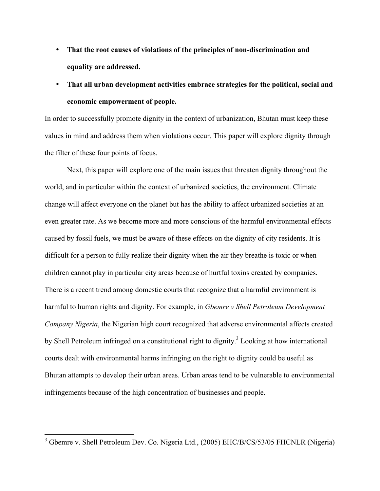- **That the root causes of violations of the principles of non-discrimination and equality are addressed.**
- **That all urban development activities embrace strategies for the political, social and economic empowerment of people.**

In order to successfully promote dignity in the context of urbanization, Bhutan must keep these values in mind and address them when violations occur. This paper will explore dignity through the filter of these four points of focus.

Next, this paper will explore one of the main issues that threaten dignity throughout the world, and in particular within the context of urbanized societies, the environment. Climate change will affect everyone on the planet but has the ability to affect urbanized societies at an even greater rate. As we become more and more conscious of the harmful environmental effects caused by fossil fuels, we must be aware of these effects on the dignity of city residents. It is difficult for a person to fully realize their dignity when the air they breathe is toxic or when children cannot play in particular city areas because of hurtful toxins created by companies. There is a recent trend among domestic courts that recognize that a harmful environment is harmful to human rights and dignity. For example, in *Gbemre v Shell Petroleum Development Company Nigeria*, the Nigerian high court recognized that adverse environmental affects created by Shell Petroleum infringed on a constitutional right to dignity.<sup>3</sup> Looking at how international courts dealt with environmental harms infringing on the right to dignity could be useful as Bhutan attempts to develop their urban areas. Urban areas tend to be vulnerable to environmental infringements because of the high concentration of businesses and people.

<sup>&</sup>lt;sup>3</sup> Gbemre v. Shell Petroleum Dev. Co. Nigeria Ltd., (2005) EHC/B/CS/53/05 FHCNLR (Nigeria)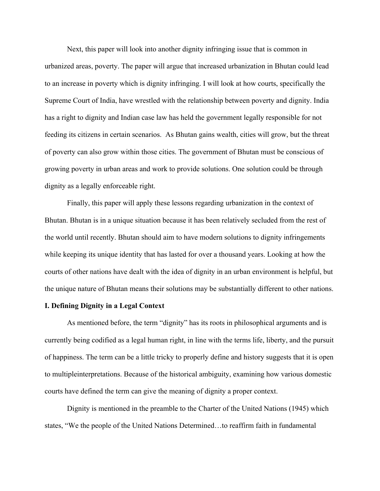Next, this paper will look into another dignity infringing issue that is common in urbanized areas, poverty. The paper will argue that increased urbanization in Bhutan could lead to an increase in poverty which is dignity infringing. I will look at how courts, specifically the Supreme Court of India, have wrestled with the relationship between poverty and dignity. India has a right to dignity and Indian case law has held the government legally responsible for not feeding its citizens in certain scenarios. As Bhutan gains wealth, cities will grow, but the threat of poverty can also grow within those cities. The government of Bhutan must be conscious of growing poverty in urban areas and work to provide solutions. One solution could be through dignity as a legally enforceable right.

Finally, this paper will apply these lessons regarding urbanization in the context of Bhutan. Bhutan is in a unique situation because it has been relatively secluded from the rest of the world until recently. Bhutan should aim to have modern solutions to dignity infringements while keeping its unique identity that has lasted for over a thousand years. Looking at how the courts of other nations have dealt with the idea of dignity in an urban environment is helpful, but the unique nature of Bhutan means their solutions may be substantially different to other nations.

#### **I. Defining Dignity in a Legal Context**

As mentioned before, the term "dignity" has its roots in philosophical arguments and is currently being codified as a legal human right, in line with the terms life, liberty, and the pursuit of happiness. The term can be a little tricky to properly define and history suggests that it is open to multipleinterpretations. Because of the historical ambiguity, examining how various domestic courts have defined the term can give the meaning of dignity a proper context.

Dignity is mentioned in the preamble to the Charter of the United Nations (1945) which states, "We the people of the United Nations Determined…to reaffirm faith in fundamental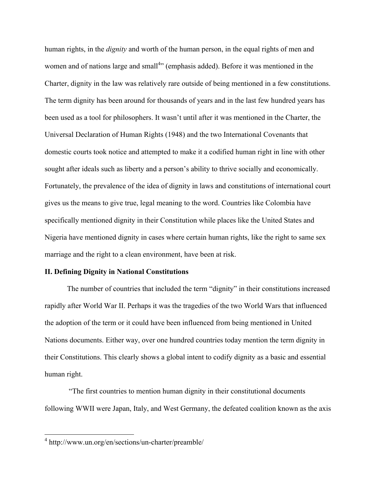human rights, in the *dignity* and worth of the human person, in the equal rights of men and women and of nations large and small<sup>4</sup>" (emphasis added). Before it was mentioned in the Charter, dignity in the law was relatively rare outside of being mentioned in a few constitutions. The term dignity has been around for thousands of years and in the last few hundred years has been used as a tool for philosophers. It wasn't until after it was mentioned in the Charter, the Universal Declaration of Human Rights (1948) and the two International Covenants that domestic courts took notice and attempted to make it a codified human right in line with other sought after ideals such as liberty and a person's ability to thrive socially and economically. Fortunately, the prevalence of the idea of dignity in laws and constitutions of international court gives us the means to give true, legal meaning to the word. Countries like Colombia have specifically mentioned dignity in their Constitution while places like the United States and Nigeria have mentioned dignity in cases where certain human rights, like the right to same sex marriage and the right to a clean environment, have been at risk.

#### **II. Defining Dignity in National Constitutions**

The number of countries that included the term "dignity" in their constitutions increased rapidly after World War II. Perhaps it was the tragedies of the two World Wars that influenced the adoption of the term or it could have been influenced from being mentioned in United Nations documents. Either way, over one hundred countries today mention the term dignity in their Constitutions. This clearly shows a global intent to codify dignity as a basic and essential human right.

"The first countries to mention human dignity in their constitutional documents following WWII were Japan, Italy, and West Germany, the defeated coalition known as the axis

 <sup>4</sup> http://www.un.org/en/sections/un-charter/preamble/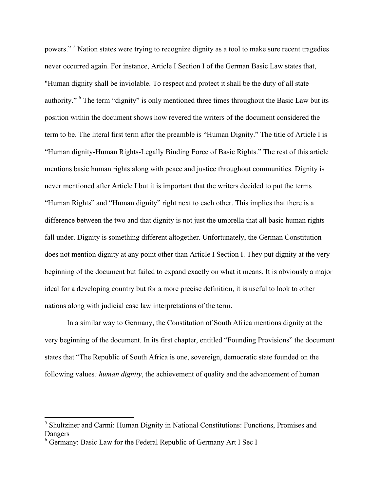powers." <sup>5</sup> Nation states were trying to recognize dignity as a tool to make sure recent tragedies never occurred again. For instance, Article I Section I of the German Basic Law states that, "Human dignity shall be inviolable. To respect and protect it shall be the duty of all state authority." <sup>6</sup> The term "dignity" is only mentioned three times throughout the Basic Law but its position within the document shows how revered the writers of the document considered the term to be. The literal first term after the preamble is "Human Dignity." The title of Article I is "Human dignity-Human Rights-Legally Binding Force of Basic Rights." The rest of this article mentions basic human rights along with peace and justice throughout communities. Dignity is never mentioned after Article I but it is important that the writers decided to put the terms "Human Rights" and "Human dignity" right next to each other. This implies that there is a difference between the two and that dignity is not just the umbrella that all basic human rights fall under. Dignity is something different altogether. Unfortunately, the German Constitution does not mention dignity at any point other than Article I Section I. They put dignity at the very beginning of the document but failed to expand exactly on what it means. It is obviously a major ideal for a developing country but for a more precise definition, it is useful to look to other nations along with judicial case law interpretations of the term.

In a similar way to Germany, the Constitution of South Africa mentions dignity at the very beginning of the document. In its first chapter, entitled "Founding Provisions" the document states that "The Republic of South Africa is one, sovereign, democratic state founded on the following values*: human dignity*, the achievement of quality and the advancement of human

<sup>&</sup>lt;sup>5</sup> Shultziner and Carmi: Human Dignity in National Constitutions: Functions, Promises and Dangers

<sup>&</sup>lt;sup>6</sup> Germany: Basic Law for the Federal Republic of Germany Art I Sec I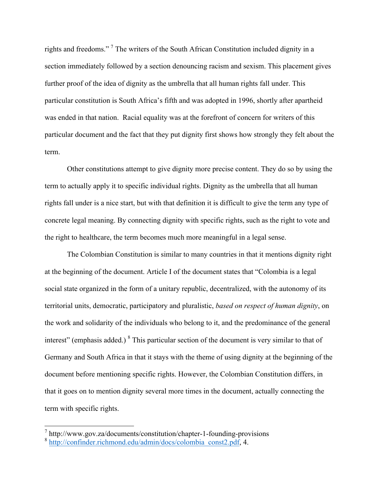rights and freedoms." 7 The writers of the South African Constitution included dignity in a section immediately followed by a section denouncing racism and sexism. This placement gives further proof of the idea of dignity as the umbrella that all human rights fall under. This particular constitution is South Africa's fifth and was adopted in 1996, shortly after apartheid was ended in that nation. Racial equality was at the forefront of concern for writers of this particular document and the fact that they put dignity first shows how strongly they felt about the term.

Other constitutions attempt to give dignity more precise content. They do so by using the term to actually apply it to specific individual rights. Dignity as the umbrella that all human rights fall under is a nice start, but with that definition it is difficult to give the term any type of concrete legal meaning. By connecting dignity with specific rights, such as the right to vote and the right to healthcare, the term becomes much more meaningful in a legal sense.

The Colombian Constitution is similar to many countries in that it mentions dignity right at the beginning of the document. Article I of the document states that "Colombia is a legal social state organized in the form of a unitary republic, decentralized, with the autonomy of its territorial units, democratic, participatory and pluralistic, *based on respect of human dignity*, on the work and solidarity of the individuals who belong to it, and the predominance of the general interest" (emphasis added.)<sup>8</sup> This particular section of the document is very similar to that of Germany and South Africa in that it stays with the theme of using dignity at the beginning of the document before mentioning specific rights. However, the Colombian Constitution differs, in that it goes on to mention dignity several more times in the document, actually connecting the term with specific rights.

 <sup>7</sup> http://www.gov.za/documents/constitution/chapter-1-founding-provisions

<sup>8</sup> http://confinder.richmond.edu/admin/docs/colombia\_const2.pdf, 4.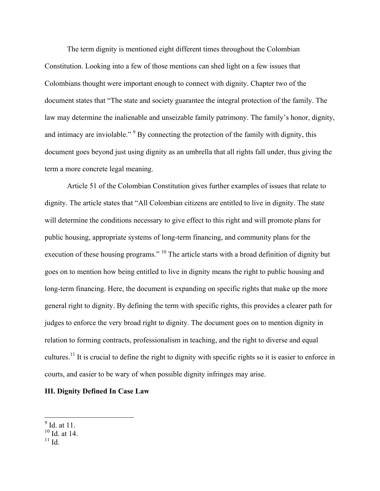The term dignity is mentioned eight different times throughout the Colombian Constitution. Looking into a few of those mentions can shed light on a few issues that Colombians thought were important enough to connect with dignity. Chapter two of the document states that "The state and society guarantee the integral protection of the family. The law may determine the inalienable and unseizable family patrimony. The family's honor, dignity, and intimacy are inviolable."<sup>9</sup> By connecting the protection of the family with dignity, this document goes beyond just using dignity as an umbrella that all rights fall under, thus giving the term a more concrete legal meaning.

Article 51 of the Colombian Constitution gives further examples of issues that relate to dignity. The article states that "All Colombian citizens are entitled to live in dignity. The state will determine the conditions necessary to give effect to this right and will promote plans for public housing, appropriate systems of long-term financing, and community plans for the execution of these housing programs." <sup>10</sup> The article starts with a broad definition of dignity but goes on to mention how being entitled to live in dignity means the right to public housing and long-term financing. Here, the document is expanding on specific rights that make up the more general right to dignity. By defining the term with specific rights, this provides a clearer path for judges to enforce the very broad right to dignity. The document goes on to mention dignity in relation to forming contracts, professionalism in teaching, and the right to diverse and equal cultures.<sup>11</sup> It is crucial to define the right to dignity with specific rights so it is easier to enforce in courts, and easier to be wary of when possible dignity infringes may arise.

### **III. Dignity Defined In Case Law**

 $\frac{9}{9}$  Id. at 11.

 $10$  Id. at 14.

 $11$  Id.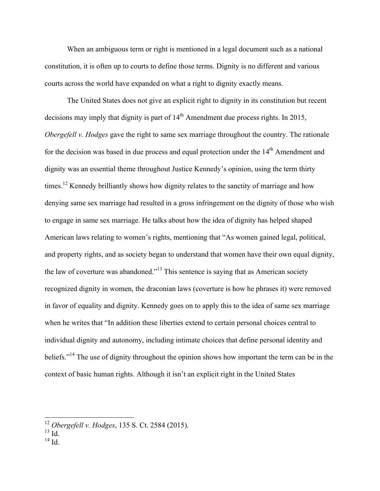When an ambiguous term or right is mentioned in a legal document such as a national constitution, it is often up to courts to define those terms. Dignity is no different and various courts across the world have expanded on what a right to dignity exactly means.

The United States does not give an explicit right to dignity in its constitution but recent decisions may imply that dignity is part of  $14<sup>th</sup>$  Amendment due process rights. In 2015, *Obergefell v. Hodges* gave the right to same sex marriage throughout the country. The rationale for the decision was based in due process and equal protection under the  $14<sup>th</sup>$  Amendment and dignity was an essential theme throughout Justice Kennedy's opinion, using the term thirty times.<sup>12</sup> Kennedy brilliantly shows how dignity relates to the sanctity of marriage and how denying same sex marriage had resulted in a gross infringement on the dignity of those who wish to engage in same sex marriage. He talks about how the idea of dignity has helped shaped American laws relating to women's rights, mentioning that "As women gained legal, political, and property rights, and as society began to understand that women have their own equal dignity, the law of coverture was abandoned."13 This sentence is saying that as American society recognized dignity in women, the draconian laws (coverture is how he phrases it) were removed in favor of equality and dignity. Kennedy goes on to apply this to the idea of same sex marriage when he writes that "In addition these liberties extend to certain personal choices central to individual dignity and autonomy, including intimate choices that define personal identity and beliefs."<sup>14</sup> The use of dignity throughout the opinion shows how important the term can be in the context of basic human rights. Although it isn't an explicit right in the United States

 $14$  Id.

 <sup>12</sup> *Obergefell v. Hodges*, 135 S. Ct. 2584 (2015).

 $^{13}$  Id.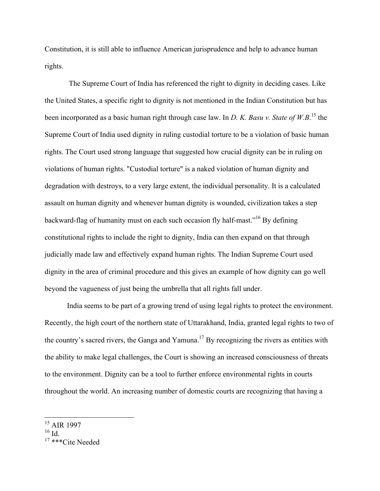Constitution, it is still able to influence American jurisprudence and help to advance human rights.

The Supreme Court of India has referenced the right to dignity in deciding cases. Like the United States, a specific right to dignity is not mentioned in the Indian Constitution but has been incorporated as a basic human right through case law. In *D. K. Basu v. State of W.B*. <sup>15</sup> the Supreme Court of India used dignity in ruling custodial torture to be a violation of basic human rights. The Court used strong language that suggested how crucial dignity can be in ruling on violations of human rights. "Custodial torture" is a naked violation of human dignity and degradation with destroys, to a very large extent, the individual personality. It is a calculated assault on human dignity and whenever human dignity is wounded, civilization takes a step backward-flag of humanity must on each such occasion fly half-mast."16 By defining constitutional rights to include the right to dignity, India can then expand on that through judicially made law and effectively expand human rights. The Indian Supreme Court used dignity in the area of criminal procedure and this gives an example of how dignity can go well beyond the vagueness of just being the umbrella that all rights fall under.

India seems to be part of a growing trend of using legal rights to protect the environment. Recently, the high court of the northern state of Uttarakhand, India, granted legal rights to two of the country's sacred rivers, the Ganga and Yamuna.<sup>17</sup> By recognizing the rivers as entities with the ability to make legal challenges, the Court is showing an increased consciousness of threats to the environment. Dignity can be a tool to further enforce environmental rights in courts throughout the world. An increasing number of domestic courts are recognizing that having a

 <sup>15</sup> AIR 1997

<sup>16</sup> Id.

<sup>17</sup> \*\*\*Cite Needed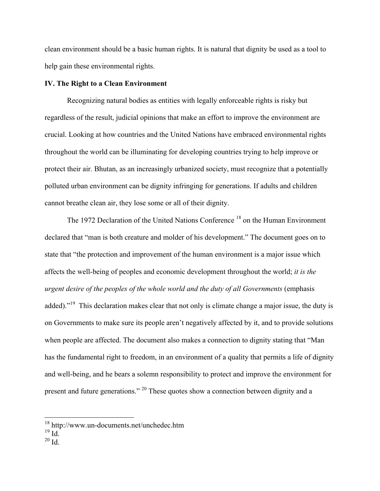clean environment should be a basic human rights. It is natural that dignity be used as a tool to help gain these environmental rights.

#### **IV. The Right to a Clean Environment**

Recognizing natural bodies as entities with legally enforceable rights is risky but regardless of the result, judicial opinions that make an effort to improve the environment are crucial. Looking at how countries and the United Nations have embraced environmental rights throughout the world can be illuminating for developing countries trying to help improve or protect their air. Bhutan, as an increasingly urbanized society, must recognize that a potentially polluted urban environment can be dignity infringing for generations. If adults and children cannot breathe clean air, they lose some or all of their dignity.

The 1972 Declaration of the United Nations Conference<sup>18</sup> on the Human Environment declared that "man is both creature and molder of his development." The document goes on to state that "the protection and improvement of the human environment is a major issue which affects the well-being of peoples and economic development throughout the world; *it is the urgent desire of the peoples of the whole world and the duty of all Governments* (emphasis added)."<sup>19</sup> This declaration makes clear that not only is climate change a major issue, the duty is on Governments to make sure its people aren't negatively affected by it, and to provide solutions when people are affected. The document also makes a connection to dignity stating that "Man has the fundamental right to freedom, in an environment of a quality that permits a life of dignity and well-being, and he bears a solemn responsibility to protect and improve the environment for present and future generations." 20 These quotes show a connection between dignity and a

 $20$  Id.

 <sup>18</sup> http://www.un-documents.net/unchedec.htm

 $^{19}$  Id.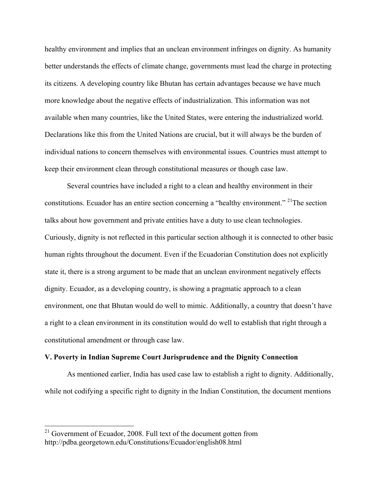healthy environment and implies that an unclean environment infringes on dignity. As humanity better understands the effects of climate change, governments must lead the charge in protecting its citizens. A developing country like Bhutan has certain advantages because we have much more knowledge about the negative effects of industrialization. This information was not available when many countries, like the United States, were entering the industrialized world. Declarations like this from the United Nations are crucial, but it will always be the burden of individual nations to concern themselves with environmental issues. Countries must attempt to keep their environment clean through constitutional measures or though case law.

Several countries have included a right to a clean and healthy environment in their constitutions. Ecuador has an entire section concerning a "healthy environment." <sup>21</sup>The section talks about how government and private entities have a duty to use clean technologies. Curiously, dignity is not reflected in this particular section although it is connected to other basic human rights throughout the document. Even if the Ecuadorian Constitution does not explicitly state it, there is a strong argument to be made that an unclean environment negatively effects dignity. Ecuador, as a developing country, is showing a pragmatic approach to a clean environment, one that Bhutan would do well to mimic. Additionally, a country that doesn't have a right to a clean environment in its constitution would do well to establish that right through a constitutional amendment or through case law.

#### **V. Poverty in Indian Supreme Court Jurisprudence and the Dignity Connection**

As mentioned earlier, India has used case law to establish a right to dignity. Additionally, while not codifying a specific right to dignity in the Indian Constitution, the document mentions

 $21$  Government of Ecuador, 2008. Full text of the document gotten from http://pdba.georgetown.edu/Constitutions/Ecuador/english08.html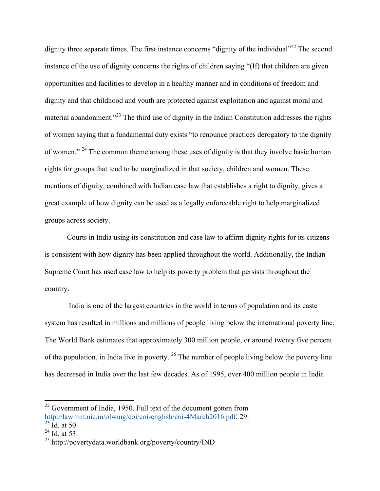dignity three separate times. The first instance concerns "dignity of the individual"<sup>22</sup> The second instance of the use of dignity concerns the rights of children saying "(If) that children are given opportunities and facilities to develop in a healthy manner and in conditions of freedom and dignity and that childhood and youth are protected against exploitation and against moral and material abandonment."<sup>23</sup> The third use of dignity in the Indian Constitution addresses the rights of women saying that a fundamental duty exists "to renounce practices derogatory to the dignity of women." <sup>24</sup> The common theme among these uses of dignity is that they involve basic human rights for groups that tend to be marginalized in that society, children and women. These mentions of dignity, combined with Indian case law that establishes a right to dignity, gives a great example of how dignity can be used as a legally enforceable right to help marginalized groups across society.

Courts in India using its constitution and case law to affirm dignity rights for its citizens is consistent with how dignity has been applied throughout the world. Additionally, the Indian Supreme Court has used case law to help its poverty problem that persists throughout the country.

India is one of the largest countries in the world in terms of population and its caste system has resulted in millions and millions of people living below the international poverty line. The World Bank estimates that approximately 300 million people, or around twenty five percent of the population, in India live in poverty.  $25$  The number of people living below the poverty line has decreased in India over the last few decades. As of 1995, over 400 million people in India

<sup>&</sup>lt;sup>22</sup> Government of India, 1950. Full text of the document gotten from http://lawmin.nic.in/olwing/coi/coi-english/coi-4March2016.pdf, 29.

 $^{23}$  Id. at 50.

 $^{24}$  Id. at 53.

<sup>25</sup> http://povertydata.worldbank.org/poverty/country/IND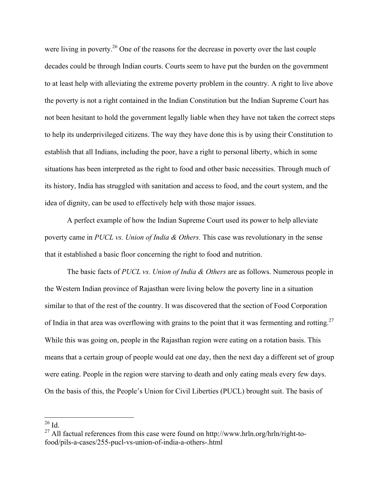were living in poverty.<sup>26</sup> One of the reasons for the decrease in poverty over the last couple decades could be through Indian courts. Courts seem to have put the burden on the government to at least help with alleviating the extreme poverty problem in the country. A right to live above the poverty is not a right contained in the Indian Constitution but the Indian Supreme Court has not been hesitant to hold the government legally liable when they have not taken the correct steps to help its underprivileged citizens. The way they have done this is by using their Constitution to establish that all Indians, including the poor, have a right to personal liberty, which in some situations has been interpreted as the right to food and other basic necessities. Through much of its history, India has struggled with sanitation and access to food, and the court system, and the idea of dignity, can be used to effectively help with those major issues.

A perfect example of how the Indian Supreme Court used its power to help alleviate poverty came in *PUCL vs. Union of India & Others.* This case was revolutionary in the sense that it established a basic floor concerning the right to food and nutrition.

The basic facts of *PUCL vs. Union of India & Others* are as follows. Numerous people in the Western Indian province of Rajasthan were living below the poverty line in a situation similar to that of the rest of the country. It was discovered that the section of Food Corporation of India in that area was overflowing with grains to the point that it was fermenting and rotting.<sup>27</sup> While this was going on, people in the Rajasthan region were eating on a rotation basis. This means that a certain group of people would eat one day, then the next day a different set of group were eating. People in the region were starving to death and only eating meals every few days. On the basis of this, the People's Union for Civil Liberties (PUCL) brought suit. The basis of

 $26$  Id.

 $^{27}$  All factual references from this case were found on http://www.hrln.org/hrln/right-tofood/pils-a-cases/255-pucl-vs-union-of-india-a-others-.html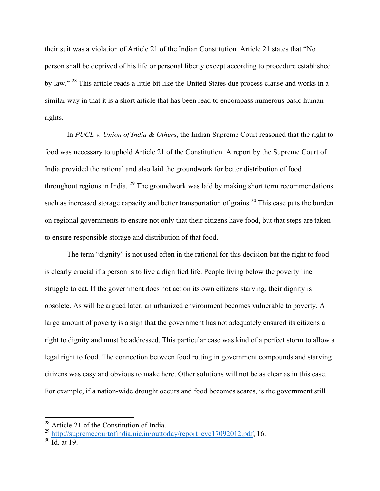their suit was a violation of Article 21 of the Indian Constitution. Article 21 states that "No person shall be deprived of his life or personal liberty except according to procedure established by law." <sup>28</sup> This article reads a little bit like the United States due process clause and works in a similar way in that it is a short article that has been read to encompass numerous basic human rights.

In *PUCL v. Union of India & Others*, the Indian Supreme Court reasoned that the right to food was necessary to uphold Article 21 of the Constitution. A report by the Supreme Court of India provided the rational and also laid the groundwork for better distribution of food throughout regions in India.  $^{29}$  The groundwork was laid by making short term recommendations such as increased storage capacity and better transportation of grains.<sup>30</sup> This case puts the burden on regional governments to ensure not only that their citizens have food, but that steps are taken to ensure responsible storage and distribution of that food.

The term "dignity" is not used often in the rational for this decision but the right to food is clearly crucial if a person is to live a dignified life. People living below the poverty line struggle to eat. If the government does not act on its own citizens starving, their dignity is obsolete. As will be argued later, an urbanized environment becomes vulnerable to poverty. A large amount of poverty is a sign that the government has not adequately ensured its citizens a right to dignity and must be addressed. This particular case was kind of a perfect storm to allow a legal right to food. The connection between food rotting in government compounds and starving citizens was easy and obvious to make here. Other solutions will not be as clear as in this case. For example, if a nation-wide drought occurs and food becomes scares, is the government still

 $2^8$  Article 21 of the Constitution of India.

<sup>&</sup>lt;sup>29</sup> http://supremecourtofindia.nic.in/outtoday/report\_cvc17092012.pdf, 16.

 $30 \overline{\text{Id.}}$  at 19.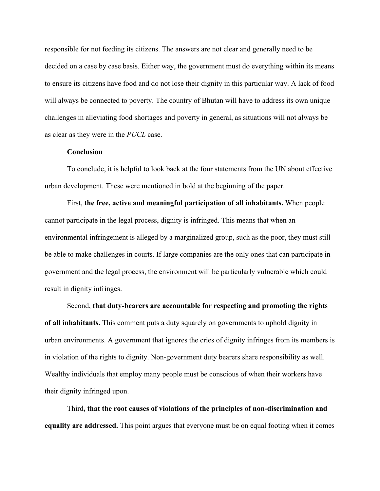responsible for not feeding its citizens. The answers are not clear and generally need to be decided on a case by case basis. Either way, the government must do everything within its means to ensure its citizens have food and do not lose their dignity in this particular way. A lack of food will always be connected to poverty. The country of Bhutan will have to address its own unique challenges in alleviating food shortages and poverty in general, as situations will not always be as clear as they were in the *PUCL* case.

### **Conclusion**

To conclude, it is helpful to look back at the four statements from the UN about effective urban development. These were mentioned in bold at the beginning of the paper.

First, **the free, active and meaningful participation of all inhabitants.** When people cannot participate in the legal process, dignity is infringed. This means that when an environmental infringement is alleged by a marginalized group, such as the poor, they must still be able to make challenges in courts. If large companies are the only ones that can participate in government and the legal process, the environment will be particularly vulnerable which could result in dignity infringes.

Second, **that duty-bearers are accountable for respecting and promoting the rights of all inhabitants.** This comment puts a duty squarely on governments to uphold dignity in urban environments. A government that ignores the cries of dignity infringes from its members is in violation of the rights to dignity. Non-government duty bearers share responsibility as well. Wealthy individuals that employ many people must be conscious of when their workers have their dignity infringed upon.

Third**, that the root causes of violations of the principles of non-discrimination and equality are addressed.** This point argues that everyone must be on equal footing when it comes